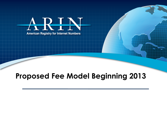

#### **Proposed Fee Model Beginning 2013**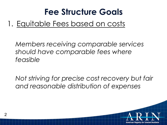#### 1. Equitable Fees based on costs

*Members receiving comparable services should have comparable fees where feasible* 

*Not striving for precise cost recovery but fair and reasonable distribution of expenses* 

**American Registry for Internet Numbers** 

 $\mathcal{P}$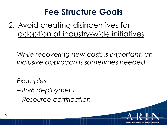2. Avoid creating disincentives for adoption of industry-wide initiatives

*While recovering new costs is important, an inclusive approach is sometimes needed.* 

American Registry for Internet Numbers

*Examples:* 

- *IPv6 deployment*
- *Resource certification*

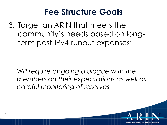3. Target an ARIN that meets the community's needs based on longterm post-IPv4-runout expenses:

*Will require ongoing dialogue with the members on their expectations as well as careful monitoring of reserves* 

4

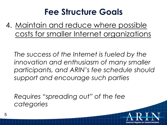4. Maintain and reduce where possible costs for smaller Internet organizations

*The success of the Internet is fueled by the innovation and enthusiasm of many smaller participants, and ARIN's fee schedule should support and encourage such parties* 

American Registry for Internet Numbers

*Requires "spreading out" of the fee categories*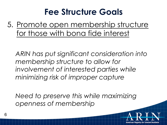5. Promote open membership structure for those with bona fide interest

*ARIN has put significant consideration into membership structure to allow for involvement of interested parties while minimizing risk of improper capture* 

*Need to preserve this while maximizing openness of membership* 

American Registry for Internet Numbers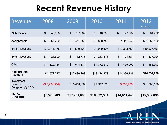## **Recent Revenue History**

| Revenue                                  | 2008          | 2009                                | 2010          | 2011                       | 2012<br>Projected                    |
|------------------------------------------|---------------|-------------------------------------|---------------|----------------------------|--------------------------------------|
| <b>ASN Initials</b>                      | \$<br>849,626 | \$<br>767,587                       | \$<br>710,709 | \$<br>677,837              | \$<br>34,492                         |
| Assignments                              | \$<br>554,250 | \$<br>511,250                       | \$<br>888,750 | \$<br>1,415,250            | \$1,352,500                          |
| <b>IPv4 Allocations</b>                  | \$9,011,175   | \$9,530,423                         | \$9,989,196   | \$10,393,760               | \$10,577,592                         |
| <b>IPv6 Allocations</b>                  | \$<br>28,600  | $\boldsymbol{\mathsf{S}}$<br>82,775 | \$<br>213,813 | \$<br>424,684              | \$<br>807,004                        |
| Other                                    | \$1,129,146   | \$1,544,134                         | \$1,372,510   | $\frac{1}{2}$<br>1,455,200 | \$1,465,500                          |
| <b>Registration</b><br><b>Revenue</b>    | \$11,572,797  | \$12,436,169                        | \$13,174,978  | \$14,366,731               | \$14,837,090                         |
| Investment<br>Revenue<br>Budgeted @ 4.5% | (\$5,994,514) | \$5,464,899                         | \$2,917,326   | ( \$355,285)               | $\boldsymbol{\mathsf{S}}$<br>500,000 |
| <b>TOTAL</b><br><b>REVENUE</b>           | \$5,578,283   | \$17,901,068                        | \$16,092,304  | \$14,011,446               | \$15,337,090                         |

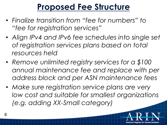## **Proposed Fee Structure**

- *Finalize transition from "fee for numbers" to "fee for registration services"*
- *Align IPv4 and IPv6 fee schedules into single set of registration services plans based on total resources held*
- *Remove unlimited registry services for a \$100 annual maintenance fee and replace with per address block and per ASN maintenance fees*
- *Make sure registration service plans are very low cost and suitable for smallest organizations (e.g. adding XX-Small category)*

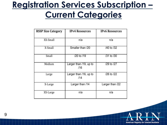### **Registration Services Subscription – Current Categories**

| <b>RSSP Size Category</b> | <b>IPv4 Resources</b>         | <b>IPv6 Resources</b> |
|---------------------------|-------------------------------|-----------------------|
| XX-Small                  | n/a                           | n/a                   |
| X-Small                   | Smaller than /20              | /40 to /32            |
| Small                     | /20 to /19                    | /31 to /30            |
| Medium                    | Larger than /19, up to<br>/16 | /29 to /27            |
| Large                     | Larger than /16, up to<br>/14 | /26 to /22            |
| X-Large                   | Larger than /14               | Larger than /22       |
| XX-Large                  | n/a                           | n/a                   |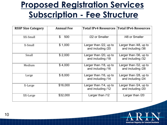### **Proposed Registration Services Subscription - Fee Structure**

| <b>RSSP Size Category</b> | <b>Annual Fee</b> | <b>Total IPv4 Resources Total IPv6 Resources</b> |                                             |
|---------------------------|-------------------|--------------------------------------------------|---------------------------------------------|
| XX-Small                  | \$<br>500         | /22 or Smaller                                   | /48 or Smaller                              |
| X-Small                   | \$1,000           | Larger than /22, up to<br>and including /20      | Larger than /48, up to<br>and including /36 |
| Small                     | \$2,000           | Larger than /20, up to<br>and including /18      | Larger than /36, up to<br>and including /32 |
| Medium                    | \$4,000           | Larger than /18, up to<br>and including /16      | Larger than /32, up to<br>and including /28 |
| Large                     | \$8,000           | Larger than /16, up to<br>and including /14      | Larger than /28, up to<br>and including /24 |
| X-Large                   | \$16,000          | Larger than /14, up to<br>and including /12      | Larger than /24, up to<br>and including /20 |
| XX-Large                  | \$32,000          | Larger than /12                                  | Larger than /20                             |

**American Registry for Internet Numbers** 

10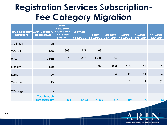## **Registration Services Subscription-Fee Category Migration**

| <b>Structure</b> | <b>IPv4 Category 2011 Category Breakdown</b><br><b>Breakdown</b> | <b>New</b><br><b>Category</b><br><b>XX-Small</b><br>( \$500) | <b>X-Small</b><br>(\$1,000 ) | <b>Small</b><br>$\sqrt{52,000}$ | <b>Medium</b><br>1,54,000 | <b>Large</b><br>\$8.000 | <b>X-Large</b><br>\$16,000 | <b>XX-Large</b><br>$$32,000$ ) |
|------------------|------------------------------------------------------------------|--------------------------------------------------------------|------------------------------|---------------------------------|---------------------------|-------------------------|----------------------------|--------------------------------|
| <b>XX-Small</b>  | n/a                                                              |                                                              |                              |                                 |                           |                         |                            |                                |
| X-Small          | 948                                                              | 363                                                          | 517                          | 68                              |                           |                         |                            |                                |
| Small            | 2,240                                                            | $\mathbf{1}$                                                 | 616                          | 1,439                           | 184                       |                         |                            |                                |
| Medium           | 630                                                              |                                                              |                              | 92                              | 388                       | 138                     | 11                         | 1                              |
| Large            | 106                                                              |                                                              |                              |                                 | 2                         | 54                      | 48                         | $\overline{2}$                 |
| X-Large          | 73                                                               |                                                              |                              |                                 |                           | 2                       | 18                         | 53                             |
|                  |                                                                  |                                                              |                              |                                 |                           |                         |                            |                                |
| XX-Large         | n/a<br><b>Total in each</b><br>new category                      | 364                                                          | 1,133                        | 1,599                           | 574                       | 194                     | 77                         | 56                             |

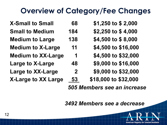#### **Overview of Category/Fee Changes**

**X-Small to Small 68 \$1,250 to \$ 2,000 Small to Medium 184 \$2,250 to \$ 4,000 Medium to Large 138 \$4,500 to \$ 8,000 Medium to X-Large 11 \$4,500 to \$16,000 Medium to XX-Large 1 \$4,500 to \$32,000 Large to X-Large 48 \$9,000 to \$16,000 Large to XX-Large 2 \$9,000 to \$32,000 X-Large to XX Large 53 \$18,000 to \$32,000** 

*505 Members see an increase* 

 *3492 Members see a decrease*

**American Registry for Internet Numbers**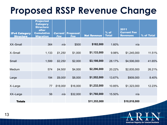## **Proposed RSSP Revenue Change**

| <b>IPv4 Category</b><br><b>Structure</b> | <b>Projected</b><br><b>Category</b><br><b>Structure</b><br>after<br><b>Cumulative</b><br><b>Migration</b> | <b>Current</b><br><b>Fee</b> | <b>Proposed</b><br><b>Fee</b> | <b>Net Revenue</b> | $%$ of<br><b>Total</b> | 2011<br><b>Current Fee</b><br><b>Revenues</b> | % of Total |
|------------------------------------------|-----------------------------------------------------------------------------------------------------------|------------------------------|-------------------------------|--------------------|------------------------|-----------------------------------------------|------------|
| <b>XX-Small</b>                          | 364                                                                                                       | n/a                          | \$500                         | \$182,000          | 1.60%                  | n/a                                           |            |
| X-Small                                  | 1,133                                                                                                     | \$1,250                      | \$1,000                       | \$1,133,000        | 9.98%                  | \$1,245,000                                   | 11.51%     |
| <b>Small</b>                             | 1,599                                                                                                     | \$2,250                      | \$2,000                       | \$3,198,000        | 28.17%                 | \$4,506,000                                   | 41.65%     |
| Medium                                   | 574                                                                                                       | \$4,500                      | \$4,000                       | \$2,296,000        | 20.22%                 | \$2,835,000                                   | 26.21%     |
| Large                                    | 194                                                                                                       | \$9,000                      | \$8,000                       | \$1,552,000        | 13.67%                 | \$909,000                                     | 8.40%      |
| X-Large                                  | 77                                                                                                        | \$18,000                     | \$16,000                      | \$1,232,000        | 10.85%                 | \$1,323,000                                   | 12.23%     |
| XX-Large                                 | 56                                                                                                        | n/a                          | \$32,000                      | \$1,760,000        | 15.50%                 | n/a                                           |            |
| <b>Totals</b>                            |                                                                                                           |                              |                               | \$11,353,000       |                        | \$10,818,000                                  |            |

**American Registry for Internet Numbers**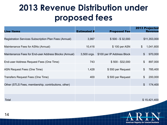## **2013 Revenue Distribution under proposed fees**

| <b>Line Items</b>                                     | <b>Estimated #</b> | <b>Proposed Fee</b>        | <b>2013 Projected</b><br><b>Revenue</b> |
|-------------------------------------------------------|--------------------|----------------------------|-----------------------------------------|
| Registration Services Subscription Plan Fees (Annual) | 3,997              | $$500 - $32,000$           | \$11,353,000                            |
| Maintenance Fees for ASNs (Annual)                    | 10,416             | \$100 per ASN              | 1,041,600<br>$\mathcal{L}$              |
| Maintenance Fees for End-user Address Blocks (Annual) | 3,500 orgs.        | \$100 per IP Address Block | 970,000<br>$\boldsymbol{\mathsf{S}}$    |
| End-user Address Request Fees (One Time)              | 743                | $$500 - $32,000$           | 897,000<br>\$                           |
| ASN Request Fees (One Time)                           | 1,428              | \$550 per Request          | 785,400<br>\$                           |
| Transfers Request Fees (One Time)                     | 400                | \$500 per Request          | 200,000<br>\$                           |
| Other (STLS Fees, membership, contributions, other)   |                    |                            | $\mathfrak{S}$<br>174,400               |
|                                                       |                    |                            |                                         |
| Total                                                 |                    |                            | \$15,421,400                            |